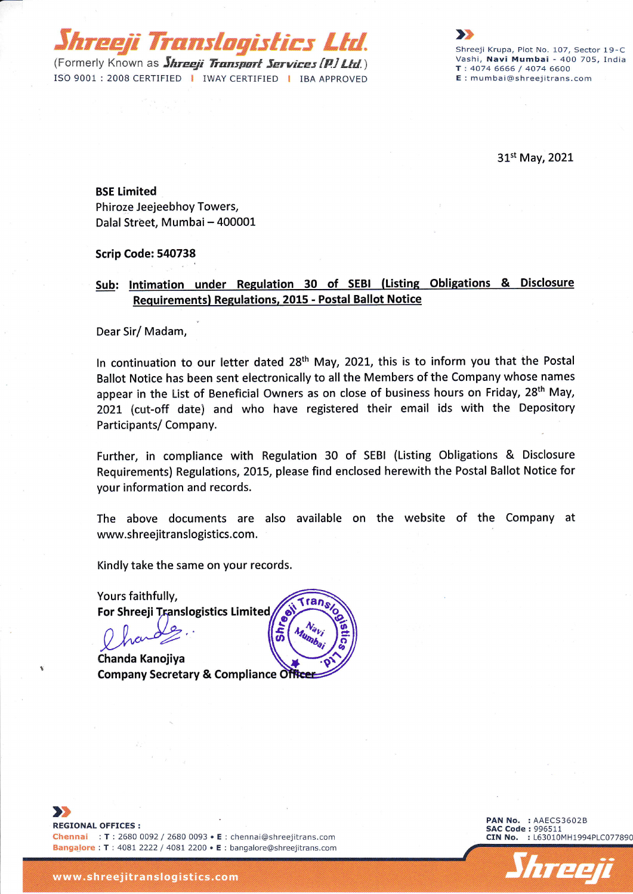(Formerly Known as *Shreeji Transport Services (P.) Ltd.*) ISO 9001 : 2008 CERTIFIED | IWAY CERTIFIED | IBA APPROVED

hreeji Translogistics Ltd.

Shreeji Krupa, Plot No. 107, Sector 19-C Vashi, Navi Mumbai - 400 705, India T :4074 6666 / 4074 6600 E : mumbai@shreejitrans.com

>p

31st May,2021

## BSE Limited

Phiroze Ieejeebhoy Towers, Dalal Street, Mumbai - 400001

#### Scrip Code: 540738

## Sub: Intimation under Regulation 30 of SEBI (Listing Obligations & Disclosure Requirementsl Regulations, 2015 - Postal Ballot Notice

Dear Sir/ Madam,

In continuation to our letter dated 28<sup>th</sup> May, 2021, this is to inform you that the Postal Ballot Notice has been sent electronically to all the Members of the Company whose names appear in the List of Beneficial Owners as on close of business hours on Friday, 28<sup>th</sup> May, 2O2L (cut-off date) and who have registered their email ids with the Depository Participants/ Company.

Further, in compliance with Regulation 30 of SEBI (Listing Obligations & Disclosure Requirements) Regulations, 2015, please find enclosed herewith the Postal Ballot Notice for your information and records.

The above documents are also available on the website of the Company at www.shreejitranslogistics.com.

Kindly take the same on your records.

For Shreeji Translogistics Limited Yours faithfully, Fransider (Munitorial Company)

Company Secretary & Compliance Officer Chanda Kanojiya



Bangalore : T : 4081 2222 / 4081 2200 • E : bangalore@shreejitrans.cor



 $\blacktriangleright$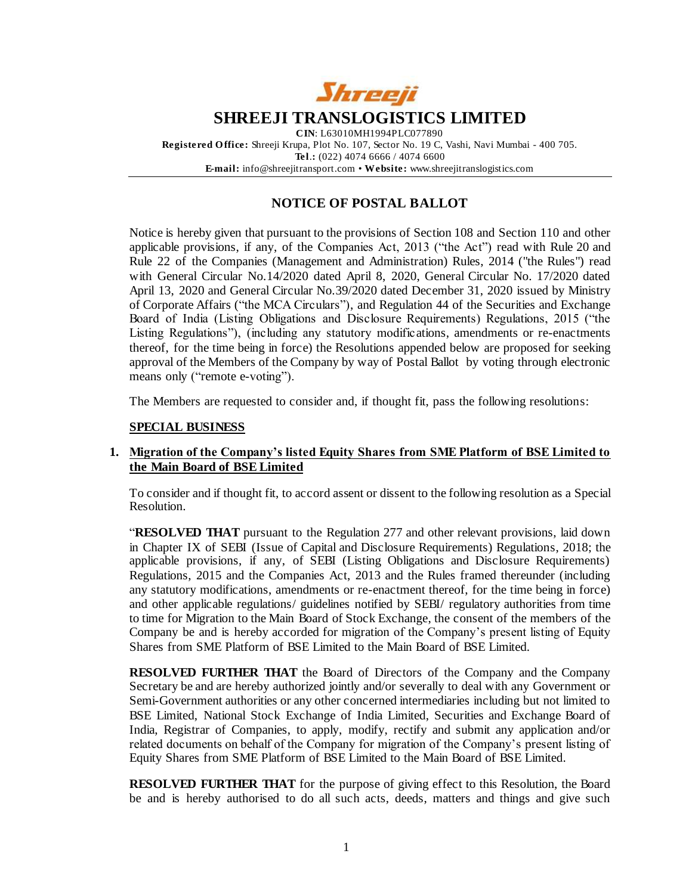

## **NOTICE OF POSTAL BALLOT**

Notice is hereby given that pursuant to the provisions of Section 108 and Section 110 and other applicable provisions, if any, of the Companies Act, 2013 ("the Act") read with Rule 20 and Rule 22 of the Companies (Management and Administration) Rules, 2014 ("the Rules") read with General Circular No.14/2020 dated April 8, 2020, General Circular No. 17/2020 dated April 13, 2020 and General Circular No.39/2020 dated December 31, 2020 issued by Ministry of Corporate Affairs ("the MCA Circulars"), and Regulation 44 of the Securities and Exchange Board of India (Listing Obligations and Disclosure Requirements) Regulations, 2015 ("the Listing Regulations"), (including any statutory modifications, amendments or re-enactments thereof, for the time being in force) the Resolutions appended below are proposed for seeking approval of the Members of the Company by way of Postal Ballot by voting through electronic means only ("remote e-voting").

The Members are requested to consider and, if thought fit, pass the following resolutions:

#### **SPECIAL BUSINESS**

#### **1. Migration of the Company's listed Equity Shares from SME Platform of BSE Limited to the Main Board of BSE Limited**

To consider and if thought fit, to accord assent or dissent to the following resolution as a Special Resolution.

"**RESOLVED THAT** pursuant to the Regulation 277 and other relevant provisions, laid down in Chapter IX of SEBI (Issue of Capital and Disclosure Requirements) Regulations, 2018; the applicable provisions, if any, of SEBI (Listing Obligations and Disclosure Requirements) Regulations, 2015 and the Companies Act, 2013 and the Rules framed thereunder (including any statutory modifications, amendments or re-enactment thereof, for the time being in force) and other applicable regulations/ guidelines notified by SEBI/ regulatory authorities from time to time for Migration to the Main Board of Stock Exchange, the consent of the members of the Company be and is hereby accorded for migration of the Company's present listing of Equity Shares from SME Platform of BSE Limited to the Main Board of BSE Limited.

**RESOLVED FURTHER THAT** the Board of Directors of the Company and the Company Secretary be and are hereby authorized jointly and/or severally to deal with any Government or Semi-Government authorities or any other concerned intermediaries including but not limited to BSE Limited, National Stock Exchange of India Limited, Securities and Exchange Board of India, Registrar of Companies, to apply, modify, rectify and submit any application and/or related documents on behalf of the Company for migration of the Company's present listing of Equity Shares from SME Platform of BSE Limited to the Main Board of BSE Limited.

**RESOLVED FURTHER THAT** for the purpose of giving effect to this Resolution, the Board be and is hereby authorised to do all such acts, deeds, matters and things and give such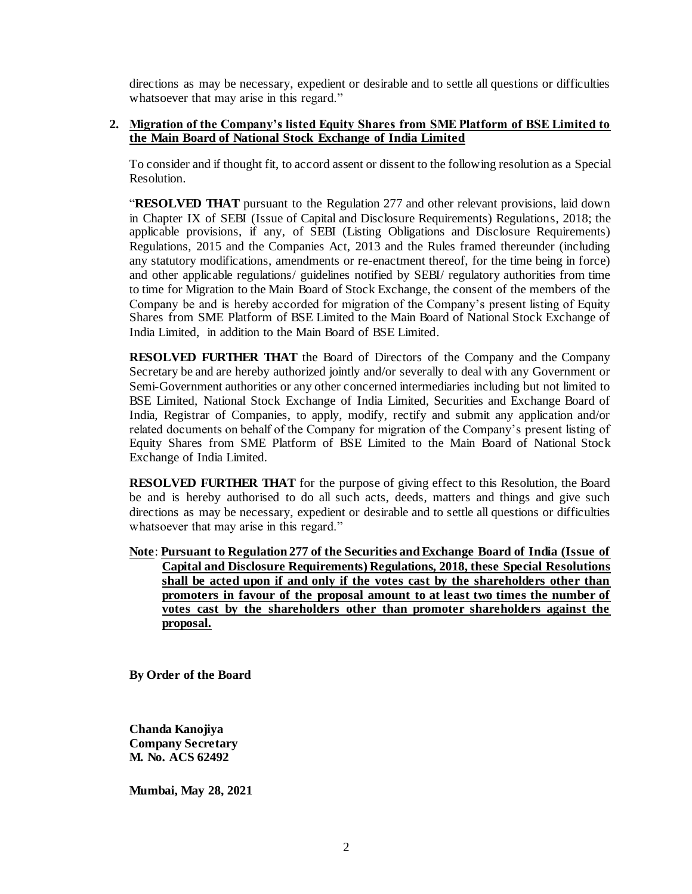directions as may be necessary, expedient or desirable and to settle all questions or difficulties whatsoever that may arise in this regard."

#### **2. Migration of the Company's listed Equity Shares from SME Platform of BSE Limited to the Main Board of National Stock Exchange of India Limited**

To consider and if thought fit, to accord assent or dissent to the following resolution as a Special Resolution.

"**RESOLVED THAT** pursuant to the Regulation 277 and other relevant provisions, laid down in Chapter IX of SEBI (Issue of Capital and Disclosure Requirements) Regulations, 2018; the applicable provisions, if any, of SEBI (Listing Obligations and Disclosure Requirements) Regulations, 2015 and the Companies Act, 2013 and the Rules framed thereunder (including any statutory modifications, amendments or re-enactment thereof, for the time being in force) and other applicable regulations/ guidelines notified by SEBI/ regulatory authorities from time to time for Migration to the Main Board of Stock Exchange, the consent of the members of the Company be and is hereby accorded for migration of the Company's present listing of Equity Shares from SME Platform of BSE Limited to the Main Board of National Stock Exchange of India Limited, in addition to the Main Board of BSE Limited.

**RESOLVED FURTHER THAT** the Board of Directors of the Company and the Company Secretary be and are hereby authorized jointly and/or severally to deal with any Government or Semi-Government authorities or any other concerned intermediaries including but not limited to BSE Limited, National Stock Exchange of India Limited, Securities and Exchange Board of India, Registrar of Companies, to apply, modify, rectify and submit any application and/or related documents on behalf of the Company for migration of the Company's present listing of Equity Shares from SME Platform of BSE Limited to the Main Board of National Stock Exchange of India Limited.

**RESOLVED FURTHER THAT** for the purpose of giving effect to this Resolution, the Board be and is hereby authorised to do all such acts, deeds, matters and things and give such directions as may be necessary, expedient or desirable and to settle all questions or difficulties whatsoever that may arise in this regard."

**Note**: **Pursuant to Regulation 277 of the Securities and Exchange Board of India (Issue of Capital and Disclosure Requirements) Regulations, 2018, these Special Resolutions shall be acted upon if and only if the votes cast by the shareholders other than promoters in favour of the proposal amount to at least two times the number of votes cast by the shareholders other than promoter shareholders against the proposal.**

**By Order of the Board** 

**Chanda Kanojiya Company Secretary M. No. ACS 62492**

**Mumbai, May 28, 2021**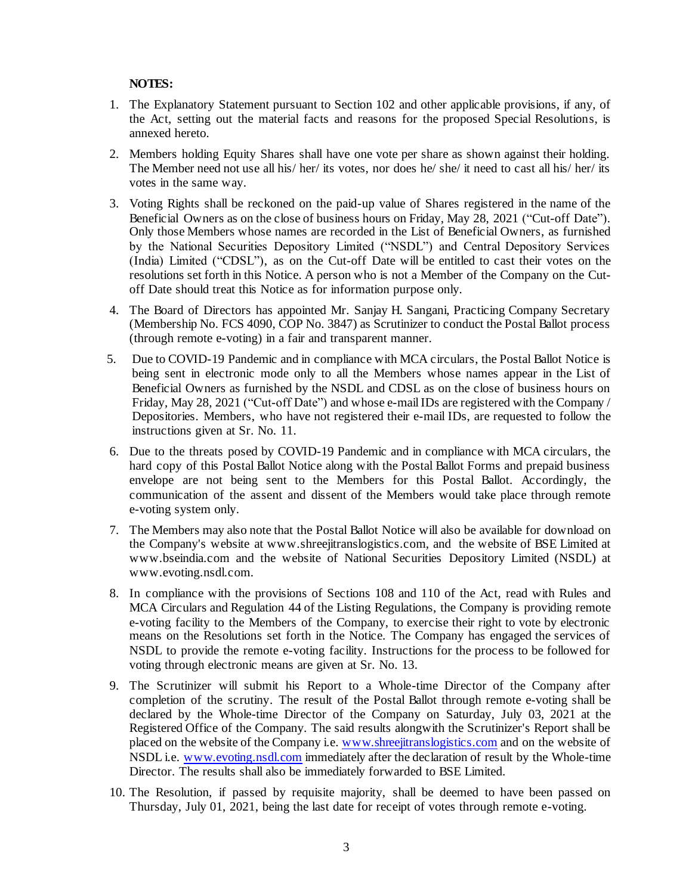### **NOTES:**

- 1. The Explanatory Statement pursuant to Section 102 and other applicable provisions, if any, of the Act, setting out the material facts and reasons for the proposed Special Resolutions, is annexed hereto.
- 2. Members holding Equity Shares shall have one vote per share as shown against their holding. The Member need not use all his/ her/ its votes, nor does he/ she/ it need to cast all his/ her/ its votes in the same way.
- 3. Voting Rights shall be reckoned on the paid-up value of Shares registered in the name of the Beneficial Owners as on the close of business hours on Friday, May 28, 2021 ("Cut-off Date"). Only those Members whose names are recorded in the List of Beneficial Owners, as furnished by the National Securities Depository Limited ("NSDL") and Central Depository Services (India) Limited ("CDSL"), as on the Cut-off Date will be entitled to cast their votes on the resolutions set forth in this Notice. A person who is not a Member of the Company on the Cutoff Date should treat this Notice as for information purpose only.
- 4. The Board of Directors has appointed Mr. Sanjay H. Sangani, Practicing Company Secretary (Membership No. FCS 4090, COP No. 3847) as Scrutinizer to conduct the Postal Ballot process (through remote e-voting) in a fair and transparent manner.
- 5. Due to COVID-19 Pandemic and in compliance with MCA circulars, the Postal Ballot Notice is being sent in electronic mode only to all the Members whose names appear in the List of Beneficial Owners as furnished by the NSDL and CDSL as on the close of business hours on Friday, May 28, 2021 ("Cut-off Date") and whose e-mail IDs are registered with the Company / Depositories. Members, who have not registered their e-mail IDs, are requested to follow the instructions given at Sr. No. 11.
- 6. Due to the threats posed by COVID-19 Pandemic and in compliance with MCA circulars, the hard copy of this Postal Ballot Notice along with the Postal Ballot Forms and prepaid business envelope are not being sent to the Members for this Postal Ballot. Accordingly, the communication of the assent and dissent of the Members would take place through remote e-voting system only.
- 7. The Members may also note that the Postal Ballot Notice will also be available for download on the Company's website at www.shreejitranslogistics.com, and the website of BSE Limited at www.bseindia.com and the website of National Securities Depository Limited (NSDL) at www.evoting.nsdl.com.
- 8. In compliance with the provisions of Sections 108 and 110 of the Act, read with Rules and MCA Circulars and Regulation 44 of the Listing Regulations, the Company is providing remote e-voting facility to the Members of the Company, to exercise their right to vote by electronic means on the Resolutions set forth in the Notice. The Company has engaged the services of NSDL to provide the remote e-voting facility. Instructions for the process to be followed for voting through electronic means are given at Sr. No. 13.
- 9. The Scrutinizer will submit his Report to a Whole-time Director of the Company after completion of the scrutiny. The result of the Postal Ballot through remote e-voting shall be declared by the Whole-time Director of the Company on Saturday, July 03, 2021 at the Registered Office of the Company. The said results alongwith the Scrutinizer's Report shall be placed on the website of the Company i.e. [www.shreejitranslogistics.com](http://www.shreejitranslogistics.com/) and on the website of NSDL i.e. [www.evoting.nsdl.com](http://www.evoting.nsdl.com/) immediately after the declaration of result by the Whole-time Director. The results shall also be immediately forwarded to BSE Limited.
- 10. The Resolution, if passed by requisite majority, shall be deemed to have been passed on Thursday, July 01, 2021, being the last date for receipt of votes through remote e-voting.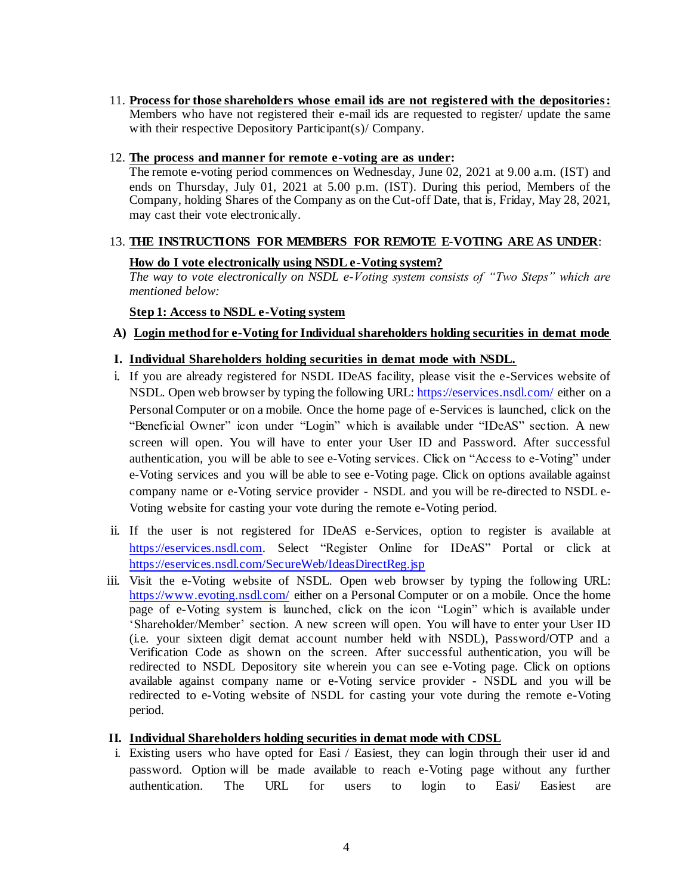11. **Process for those shareholders whose email ids are not registered with the depositories:** Members who have not registered their e-mail ids are requested to register/ update the same with their respective Depository Participant(s)/ Company.

### 12. **The process and manner for remote e-voting are as under:**

The remote e-voting period commences on Wednesday, June 02, 2021 at 9.00 a.m. (IST) and ends on Thursday, July 01, 2021 at 5.00 p.m. (IST). During this period, Members of the Company, holding Shares of the Company as on the Cut-off Date, that is, Friday, May 28, 2021, may cast their vote electronically.

# 13. **THE INSTRUCTIONS FOR MEMBERS FOR REMOTE E-VOTING ARE AS UNDER**:

### **How do I vote electronically using NSDL e-Voting system?**

*The way to vote electronically on NSDL e-Voting system consists of "Two Steps" which are mentioned below:*

### **Step 1: Access to NSDL e-Voting system**

**A) Login method for e-Voting for Individual shareholders holding securities in demat mode**

## **I. Individual Shareholders holding securities in demat mode with NSDL.**

- i. If you are already registered for NSDL IDeAS facility, please visit the e-Services website of NSDL. Open web browser by typing the following URL: <https://eservices.nsdl.com/> either on a Personal Computer or on a mobile. Once the home page of e-Services is launched, click on the "Beneficial Owner" icon under "Login" which is available under "IDeAS" section. A new screen will open. You will have to enter your User ID and Password. After successful authentication, you will be able to see e-Voting services. Click on "Access to e-Voting" under e-Voting services and you will be able to see e-Voting page. Click on options available against company name or e-Voting service provider - NSDL and you will be re-directed to NSDL e-Voting website for casting your vote during the remote e-Voting period.
- ii. If the user is not registered for IDeAS e-Services, option to register is available at [https://eservices.nsdl.com](https://eservices.nsdl.com/). Select "Register Online for IDeAS" Portal or click at <https://eservices.nsdl.com/SecureWeb/IdeasDirectReg.jsp>
- iii. Visit the e-Voting website of NSDL. Open web browser by typing the following URL: <https://www.evoting.nsdl.com/> either on a Personal Computer or on a mobile. Once the home page of e-Voting system is launched, click on the icon "Login" which is available under 'Shareholder/Member' section. A new screen will open. You will have to enter your User ID (i.e. your sixteen digit demat account number held with NSDL), Password/OTP and a Verification Code as shown on the screen. After successful authentication, you will be redirected to NSDL Depository site wherein you can see e-Voting page. Click on options available against company name or e-Voting service provider - NSDL and you will be redirected to e-Voting website of NSDL for casting your vote during the remote e-Voting period.

### **II. Individual Shareholders holding securities in demat mode with CDSL**

i. Existing users who have opted for Easi / Easiest, they can login through their user id and password. Option will be made available to reach e-Voting page without any further authentication. The URL for users to login to Easi/ Easiest are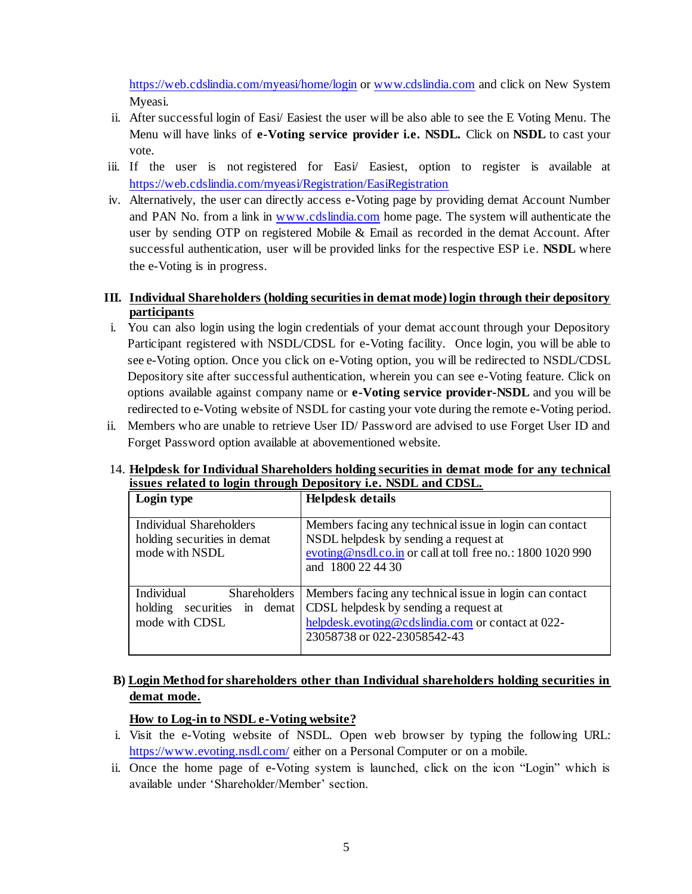<https://web.cdslindia.com/myeasi/home/login> or [www.cdslindia.com](http://www.cdslindia.com/) and click on New System Myeasi.

- ii. After successful login of Easi/ Easiest the user will be also able to see the E Voting Menu. The Menu will have links of **e-Voting service provider i.e. NSDL.** Click on **NSDL** to cast your vote.
- iii. If the user is not registered for Easi/ Easiest, option to register is available at <https://web.cdslindia.com/myeasi/Registration/EasiRegistration>
- iv. Alternatively, the user can directly access e-Voting page by providing demat Account Number and PAN No. from a link in [www.cdslindia.com](http://www.cdslindia.com/) home page. The system will authenticate the user by sending OTP on registered Mobile & Email as recorded in the demat Account. After successful authentication, user will be provided links for the respective ESP i.e. **NSDL** where the e-Voting is in progress.

## **III. Individual Shareholders (holding securities in demat mode) login through their depository participants**

- i. You can also login using the login credentials of your demat account through your Depository Participant registered with NSDL/CDSL for e-Voting facility. Once login, you will be able to see e-Voting option. Once you click on e-Voting option, you will be redirected to NSDL/CDSL Depository site after successful authentication, wherein you can see e-Voting feature. Click on options available against company name or **e-Voting service provider-NSDL** and you will be redirected to e-Voting website of NSDL for casting your vote during the remote e-Voting period.
- ii. Members who are unable to retrieve User ID/ Password are advised to use Forget User ID and Forget Password option available at abovementioned website.

### 14. **Helpdesk for Individual Shareholders holding securities in demat mode for any technical issues related to login through Depository i.e. NSDL and CDSL.**

| Login type                                                                       | Helpdesk details                                                                                                                                                                     |
|----------------------------------------------------------------------------------|--------------------------------------------------------------------------------------------------------------------------------------------------------------------------------------|
| <b>Individual Shareholders</b><br>holding securities in demat<br>mode with NSDL  | Members facing any technical issue in login can contact<br>NSDL helpdesk by sending a request at<br>evoting@nsdl.co.in or call at toll free no.: 1800 1020 990<br>and 1800 22 44 30  |
| Individual<br>Shareholders  <br>securities in demat<br>holding<br>mode with CDSL | Members facing any technical issue in login can contact<br>CDSL helpdesk by sending a request at<br>helpdesk.evoting@cdslindia.com or contact at 022-<br>23058738 or 022-23058542-43 |

# **B) Login Method for shareholders other than Individual shareholders holding securities in demat mode.**

## **How to Log-in to NSDL e-Voting website?**

- i. Visit the e-Voting website of NSDL. Open web browser by typing the following URL: <https://www.evoting.nsdl.com/> either on a Personal Computer or on a mobile.
- ii. Once the home page of e-Voting system is launched, click on the icon "Login" which is available under 'Shareholder/Member' section.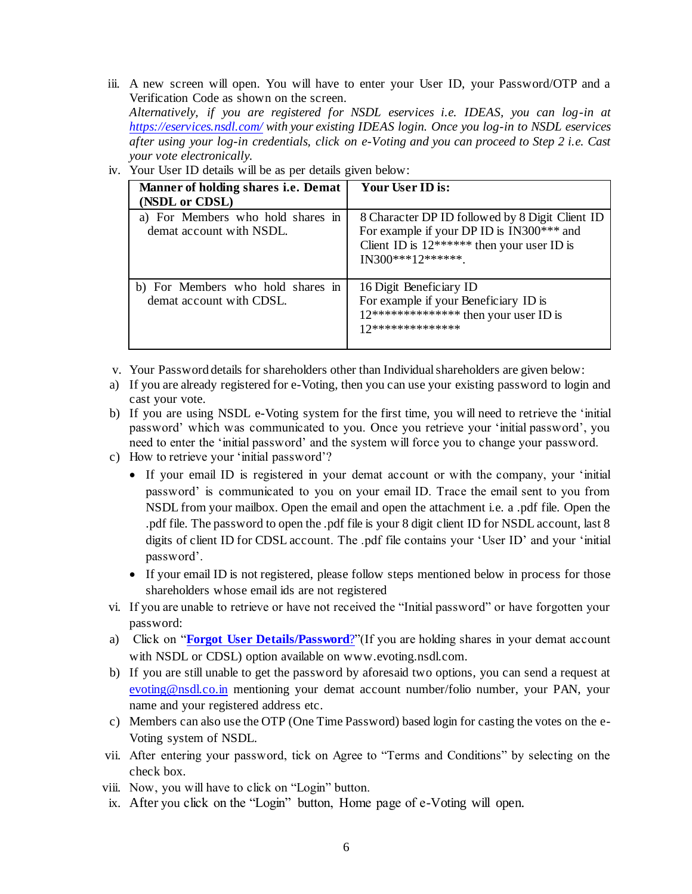iii. A new screen will open. You will have to enter your User ID, your Password/OTP and a Verification Code as shown on the screen.

*Alternatively, if you are registered for NSDL eservices i.e. IDEAS, you can log-in at <https://eservices.nsdl.com/> with your existing IDEAS login. Once you log-in to NSDL eservices after using your log-in credentials, click on e-Voting and you can proceed to Step 2 i.e. Cast your vote electronically.*

| Manner of holding shares <i>i.e.</i> Demat<br>(NSDL or CDSL)  | Your User ID is:                                                                                                                                                 |
|---------------------------------------------------------------|------------------------------------------------------------------------------------------------------------------------------------------------------------------|
| a) For Members who hold shares in<br>demat account with NSDL. | 8 Character DP ID followed by 8 Digit Client ID<br>For example if your DP ID is IN300*** and<br>Client ID is $12*****$ then your user ID is<br>IN300***12******* |
| b) For Members who hold shares in<br>demat account with CDSL. | 16 Digit Beneficiary ID<br>For example if your Beneficiary ID is<br>$12****************the$ hen your user ID is<br>17**************                              |

iv. Your User ID details will be as per details given below:

- v. Your Password details for shareholders other than Individual shareholders are given below:
- a) If you are already registered for e-Voting, then you can use your existing password to login and cast your vote.
- b) If you are using NSDL e-Voting system for the first time, you will need to retrieve the 'initial password' which was communicated to you. Once you retrieve your 'initial password', you need to enter the 'initial password' and the system will force you to change your password.
- c) How to retrieve your 'initial password'?
	- If your email ID is registered in your demat account or with the company, your 'initial password' is communicated to you on your email ID. Trace the email sent to you from NSDL from your mailbox. Open the email and open the attachment i.e. a .pdf file. Open the .pdf file. The password to open the .pdf file is your 8 digit client ID for NSDL account, last 8 digits of client ID for CDSL account. The .pdf file contains your 'User ID' and your 'initial password'.
	- If your email ID is not registered, please follow steps mentioned below in process for those shareholders whose email ids are not registered
- vi. If you are unable to retrieve or have not received the "Initial password" or have forgotten your password:
- a) Click on "**[Forgot User Details/Password](https://www.evoting.nsdl.com/eVotingWeb/commonhtmls/NewUser.jsp)**?"(If you are holding shares in your demat account with NSDL or CDSL) option available on www.evoting.nsdl.com.
- b) If you are still unable to get the password by aforesaid two options, you can send a request at [evoting@nsdl.co.in](mailto:evoting@nsdl.co.in) mentioning your demat account number/folio number, your PAN, your name and your registered address etc.
- c) Members can also use the OTP (One Time Password) based login for casting the votes on the e-Voting system of NSDL.
- vii. After entering your password, tick on Agree to "Terms and Conditions" by selecting on the check box.
- viii. Now, you will have to click on "Login" button.
- ix. After you click on the "Login" button, Home page of e-Voting will open.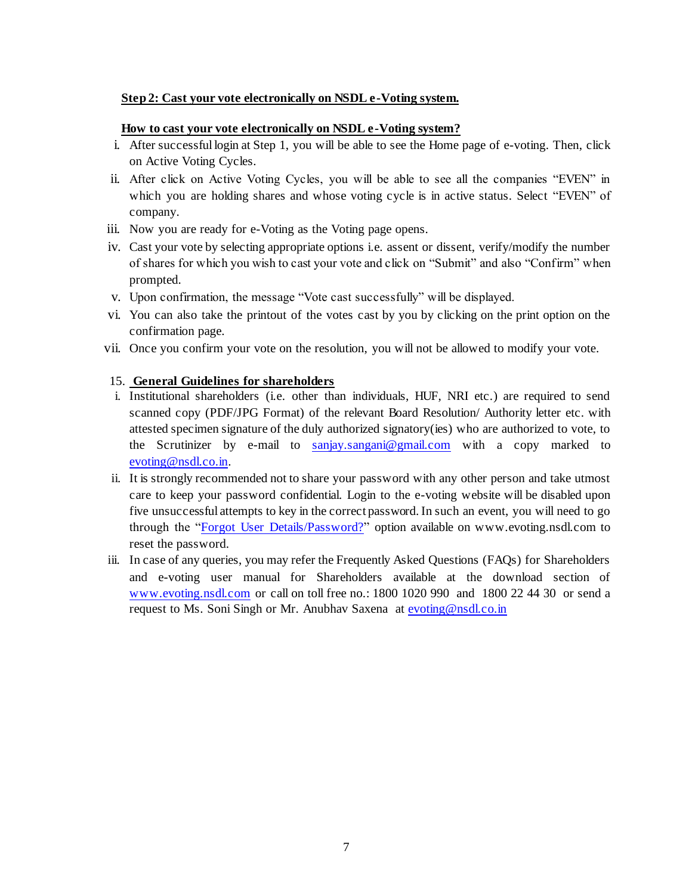#### **Step 2: Cast your vote electronically on NSDL e-Voting system.**

#### **How to cast your vote electronically on NSDL e-Voting system?**

- i. After successful login at Step 1, you will be able to see the Home page of e-voting. Then, click on Active Voting Cycles.
- ii. After click on Active Voting Cycles, you will be able to see all the companies "EVEN" in which you are holding shares and whose voting cycle is in active status. Select "EVEN" of company.
- iii. Now you are ready for e-Voting as the Voting page opens.
- iv. Cast your vote by selecting appropriate options i.e. assent or dissent, verify/modify the number of shares for which you wish to cast your vote and click on "Submit" and also "Confirm" when prompted.
- v. Upon confirmation, the message "Vote cast successfully" will be displayed.
- vi. You can also take the printout of the votes cast by you by clicking on the print option on the confirmation page.
- vii. Once you confirm your vote on the resolution, you will not be allowed to modify your vote.

#### 15. **General Guidelines for shareholders**

- i. Institutional shareholders (i.e. other than individuals, HUF, NRI etc.) are required to send scanned copy (PDF/JPG Format) of the relevant Board Resolution/ Authority letter etc. with attested specimen signature of the duly authorized signatory(ies) who are authorized to vote, to the Scrutinizer by e-mail to [sanjay.sangani@gmail.com](mailto:sanjay.sangani@gmail.com) with a copy marked to [evoting@nsdl.co.in.](mailto:evoting@nsdl.co.in)
- ii. It is strongly recommended not to share your password with any other person and take utmost care to keep your password confidential. Login to the e-voting website will be disabled upon five unsuccessful attempts to key in the correct password. In such an event, you will need to go through the "[Forgot User Details/Password?](https://www.evoting.nsdl.com/eVotingWeb/commonhtmls/NewUser.jsp)" option available on www.evoting.nsdl.com to reset the password.
- iii. In case of any queries, you may refer the Frequently Asked Questions (FAQs) for Shareholders and e-voting user manual for Shareholders available at the download section of [www.evoting.nsdl.com](http://www.evoting.nsdl.com/) or call on toll free no.: 1800 1020 990 and 1800 22 44 30 or send a request to Ms. Soni Singh or Mr. Anubhav Saxena [at evoting@nsdl.co.i](mailto:evoting@nsdl.co.in)n